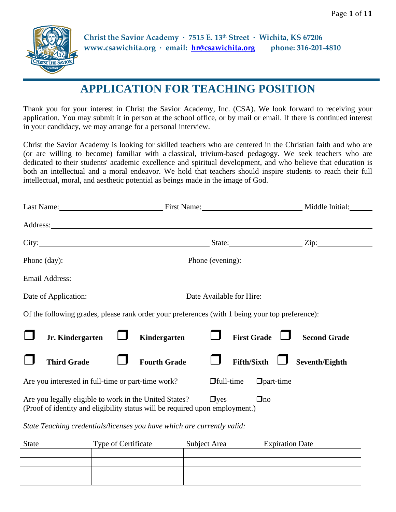

**Christ the Savior Academy · 7515 E. 13th Street · Wichita, KS 67206 www.csawichita.org · email: [hr@csawichita.org](mailto:hr@csawichita.org) phone: 316-201-4810**

# **APPLICATION FOR TEACHING POSITION**

Thank you for your interest in Christ the Savior Academy, Inc. (CSA). We look forward to receiving your application. You may submit it in person at the school office, or by mail or email. If there is continued interest in your candidacy, we may arrange for a personal interview.

Christ the Savior Academy is looking for skilled teachers who are centered in the Christian faith and who are (or are willing to become) familiar with a classical, trivium-based pedagogy. We seek teachers who are dedicated to their students' academic excellence and spiritual development, and who believe that education is both an intellectual and a moral endeavor. We hold that teachers should inspire students to reach their full intellectual, moral, and aesthetic potential as beings made in the image of God.

| Last Name: First Name: First Name:                                                                                                     |                     | Middle Initial:                                |
|----------------------------------------------------------------------------------------------------------------------------------------|---------------------|------------------------------------------------|
|                                                                                                                                        |                     |                                                |
|                                                                                                                                        |                     | City: <u>City:</u> Zip: Zip:                   |
|                                                                                                                                        |                     | Phone (day): Phone (evening): Phone (evening): |
|                                                                                                                                        |                     |                                                |
| Date of Application: Date Available for Hire:                                                                                          |                     |                                                |
| Of the following grades, please rank order your preferences (with 1 being your top preference):                                        |                     |                                                |
| Jr. Kindergarten                                                                                                                       | Kindergarten        | <b>First Grade</b><br><b>Second Grade</b>      |
| <b>Third Grade</b>                                                                                                                     | <b>Fourth Grade</b> | Seventh/Eighth<br><b>Fifth/Sixth</b>           |
| Are you interested in full-time or part-time work?                                                                                     | $\Box$ full-time    | $\Box$ part-time                               |
| Are you legally eligible to work in the United States?<br>(Proof of identity and eligibility status will be required upon employment.) | $\Box$ yes          | $\Box$ no                                      |

*State Teaching credentials/licenses you have which are currently valid:*

| <b>State</b> | Type of Certificate | Subject Area | <b>Expiration Date</b> |
|--------------|---------------------|--------------|------------------------|
|              |                     |              |                        |
|              |                     |              |                        |
|              |                     |              |                        |
|              |                     |              |                        |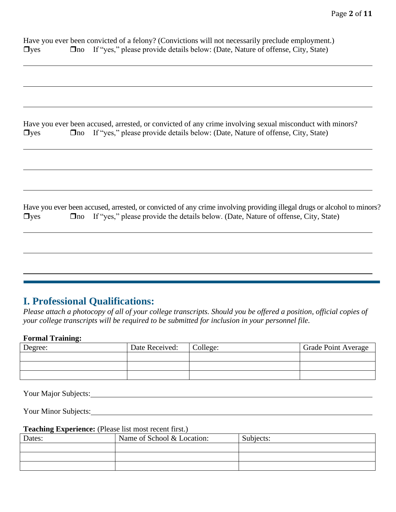|            | Have you ever been convicted of a felony? (Convictions will not necessarily preclude employment.) |
|------------|---------------------------------------------------------------------------------------------------|
| $\Box$ yes | □ <del>D</del> no If "yes," please provide details below: (Date, Nature of offense, City, State)  |

|            | Have you ever been accused, arrested, or convicted of any crime involving sexual misconduct with minors? |
|------------|----------------------------------------------------------------------------------------------------------|
| $\Box$ yes | □ <del>D</del> no If "yes," please provide details below: (Date, Nature of offense, City, State)         |

Have you ever been accused, arrested, or convicted of any crime involving providing illegal drugs or alcohol to minors?  $\Box$ yes  $\Box$ no If "yes," please provide the details below. (Date, Nature of offense, City, State)

### **I. Professional Qualifications:**

*Please attach a photocopy of all of your college transcripts. Should you be offered a position, official copies of your college transcripts will be required to be submitted for inclusion in your personnel file.*

#### **Formal Training:**

| Degree: | Date Received: | College: | <b>Grade Point Average</b> |
|---------|----------------|----------|----------------------------|
|         |                |          |                            |
|         |                |          |                            |
|         |                |          |                            |

Your Major Subjects:

Your Minor Subjects: New Your Minor Subjects:

#### **Teaching Experience:** (Please list most recent first.)

| Dates: | Name of School & Location: | Subjects: |
|--------|----------------------------|-----------|
|        |                            |           |
|        |                            |           |
|        |                            |           |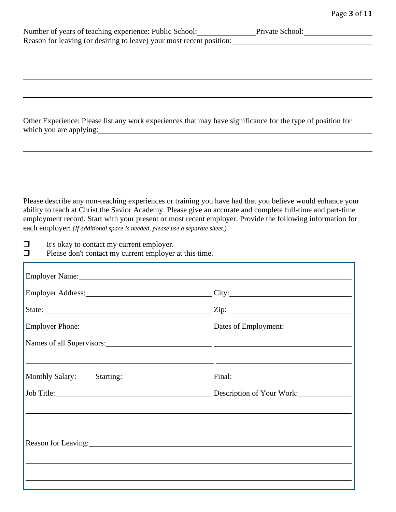|                                           |                                                                              | Number of years of teaching experience: Public School: Private School: Private School:                                                                                                                                               |
|-------------------------------------------|------------------------------------------------------------------------------|--------------------------------------------------------------------------------------------------------------------------------------------------------------------------------------------------------------------------------------|
|                                           |                                                                              |                                                                                                                                                                                                                                      |
|                                           |                                                                              |                                                                                                                                                                                                                                      |
|                                           |                                                                              |                                                                                                                                                                                                                                      |
|                                           |                                                                              |                                                                                                                                                                                                                                      |
|                                           |                                                                              |                                                                                                                                                                                                                                      |
|                                           |                                                                              | Other Experience: Please list any work experiences that may have significance for the type of position for                                                                                                                           |
|                                           |                                                                              | which you are applying: <u>contained a set of the set of the set of the set of the set of the set of the set of the set of the set of the set of the set of the set of the set of the set of the set of the set of the set of th</u> |
|                                           |                                                                              |                                                                                                                                                                                                                                      |
|                                           |                                                                              |                                                                                                                                                                                                                                      |
|                                           |                                                                              |                                                                                                                                                                                                                                      |
|                                           |                                                                              |                                                                                                                                                                                                                                      |
|                                           |                                                                              | Please describe any non-teaching experiences or training you have had that you believe would enhance your                                                                                                                            |
|                                           |                                                                              | ability to teach at Christ the Savior Academy. Please give an accurate and complete full-time and part-time                                                                                                                          |
|                                           | each employer: (If additional space is needed, please use a separate sheet.) | employment record. Start with your present or most recent employer. Provide the following information for                                                                                                                            |
| It's okay to contact my current employer. |                                                                              |                                                                                                                                                                                                                                      |
|                                           | Please don't contact my current employer at this time.                       |                                                                                                                                                                                                                                      |
|                                           |                                                                              |                                                                                                                                                                                                                                      |
|                                           |                                                                              | Employer Name: 1990 and 2008 and 2008 and 2008 and 2008 and 2008 and 2008 and 2008 and 2008 and 2008 and 2008 and 2008 and 2008 and 2008 and 2008 and 2008 and 2008 and 2008 and 2008 and 2008 and 2008 and 2008 and 2008 and        |
|                                           |                                                                              | Employer Address: City: City:                                                                                                                                                                                                        |
|                                           |                                                                              |                                                                                                                                                                                                                                      |
|                                           |                                                                              | Employer Phone: Dates of Employment:                                                                                                                                                                                                 |
|                                           |                                                                              | Names of all Supervisors: 2000 and 2000 and 2000 and 2000 and 2000 and 2000 and 2000 and 2000 and 2000 and 200                                                                                                                       |
|                                           |                                                                              |                                                                                                                                                                                                                                      |
|                                           |                                                                              | <u> 1989 - Andrea Santa Andrea Andrea Andrea Andrea Andrea Andrea Andrea Andrea Andrea Andrea Andrea Andrea Andr</u><br>Monthly Salary: Starting: Starting: Final:                                                                   |
|                                           |                                                                              |                                                                                                                                                                                                                                      |
|                                           |                                                                              | Job Title: Description of Your Work:                                                                                                                                                                                                 |
|                                           |                                                                              |                                                                                                                                                                                                                                      |
|                                           |                                                                              |                                                                                                                                                                                                                                      |
|                                           |                                                                              | Reason for Leaving: 1988 and 2008 and 2008 and 2008 and 2008 and 2008 and 2008 and 2008 and 2008 and 2008 and 2008 and 2008 and 2008 and 2008 and 2008 and 2008 and 2008 and 2008 and 2008 and 2008 and 2008 and 2008 and 2008       |
|                                           |                                                                              |                                                                                                                                                                                                                                      |
|                                           |                                                                              |                                                                                                                                                                                                                                      |
|                                           |                                                                              |                                                                                                                                                                                                                                      |
|                                           |                                                                              |                                                                                                                                                                                                                                      |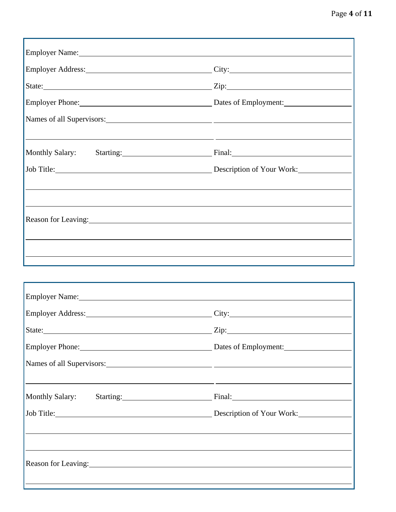| Employer Address: City: City:                                                                                                                                                                                                  |
|--------------------------------------------------------------------------------------------------------------------------------------------------------------------------------------------------------------------------------|
| State: Zip: Zip:                                                                                                                                                                                                               |
| Employer Phone: Dates of Employment: 2008                                                                                                                                                                                      |
|                                                                                                                                                                                                                                |
| Monthly Salary: Starting: Starting: Final: Final:                                                                                                                                                                              |
| Job Title: Description of Your Work:                                                                                                                                                                                           |
|                                                                                                                                                                                                                                |
| Reason for Leaving: 1988. The Manual Science of Leaving Science of Leaving Science of Leaving Science of Leaving Science of Leaving Science of Leaving Science of Leaving Science of Leaving Science of Leaving Science of Lea |
|                                                                                                                                                                                                                                |
|                                                                                                                                                                                                                                |

|                                                                                                                                                                                                                                | Employer Address: City:                            |
|--------------------------------------------------------------------------------------------------------------------------------------------------------------------------------------------------------------------------------|----------------------------------------------------|
|                                                                                                                                                                                                                                | State: Zip: Zip: Zip:                              |
|                                                                                                                                                                                                                                | Employer Phone: 2008 Complete Dates of Employment: |
|                                                                                                                                                                                                                                |                                                    |
|                                                                                                                                                                                                                                |                                                    |
|                                                                                                                                                                                                                                | Monthly Salary: Starting: Final: Final:            |
|                                                                                                                                                                                                                                |                                                    |
|                                                                                                                                                                                                                                |                                                    |
|                                                                                                                                                                                                                                |                                                    |
| Reason for Leaving: 1988. The Second Second Second Second Second Second Second Second Second Second Second Second Second Second Second Second Second Second Second Second Second Second Second Second Second Second Second Sec |                                                    |
|                                                                                                                                                                                                                                |                                                    |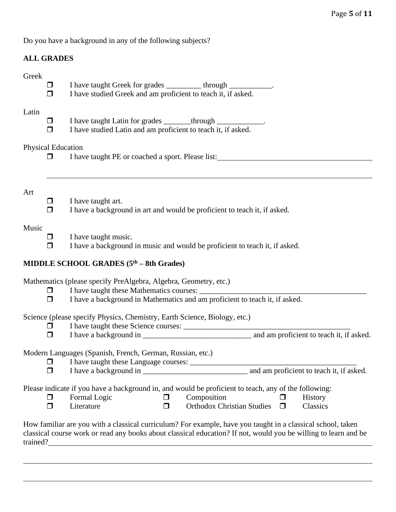Do you have a background in any of the following subjects?

### **ALL GRADES**

| Greek    | $\Box$<br>◘                    | I have taught Greek for grades ________ through ___________.<br>I have studied Greek and am proficient to teach it, if asked.                                                                                                               |
|----------|--------------------------------|---------------------------------------------------------------------------------------------------------------------------------------------------------------------------------------------------------------------------------------------|
| Latin    | $\Box$<br>$\Box$               | I have taught Latin for grades _______ through _____________.<br>I have studied Latin and am proficient to teach it, if asked.                                                                                                              |
|          | <b>Physical Education</b><br>П | I have taught PE or coached a sport. Please list:                                                                                                                                                                                           |
| Art      | $\Box$<br>$\Box$               | I have taught art.<br>I have a background in art and would be proficient to teach it, if asked.                                                                                                                                             |
| Music    | $\Box$<br>$\Box$               | I have taught music.<br>I have a background in music and would be proficient to teach it, if asked.                                                                                                                                         |
|          |                                | MIDDLE SCHOOL GRADES (5 <sup>th</sup> – 8th Grades)                                                                                                                                                                                         |
|          | $\Box$<br>$\Box$               | Mathematics (please specify PreAlgebra, Algebra, Geometry, etc.)<br>I have a background in Mathematics and am proficient to teach it, if asked.                                                                                             |
|          | $\Box$<br>$\Box$               | Science (please specify Physics, Chemistry, Earth Science, Biology, etc.)<br>I have taught these Science courses:                                                                                                                           |
|          | ◘<br>⊓                         | Modern Languages (Spanish, French, German, Russian, etc.)<br>and am proficient to teach it, if asked.<br>I have a background in                                                                                                             |
|          | $\Box$<br>□                    | Please indicate if you have a background in, and would be proficient to teach, any of the following:<br>Composition<br>Formal Logic<br>History<br>$\Box$<br>Literature<br><b>Orthodox Christian Studies</b><br>Classics<br>$\Box$<br>$\Box$ |
| trained? |                                | How familiar are you with a classical curriculum? For example, have you taught in a classical school, taken<br>classical course work or read any books about classical education? If not, would you be willing to learn and be              |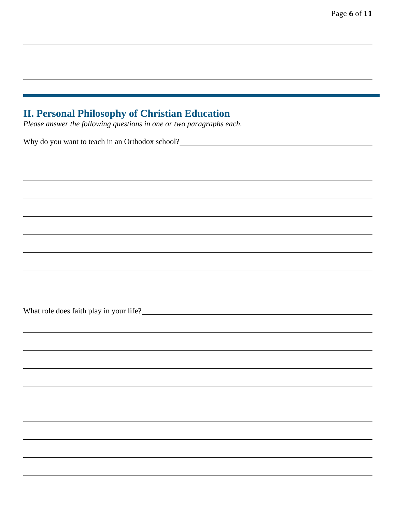## **II. Personal Philosophy of Christian Education**

*Please answer the following questions in one or two paragraphs each.*

Why do you want to teach in an Orthodox school?

What role does faith play in your life?<br>
<u>Letting</u>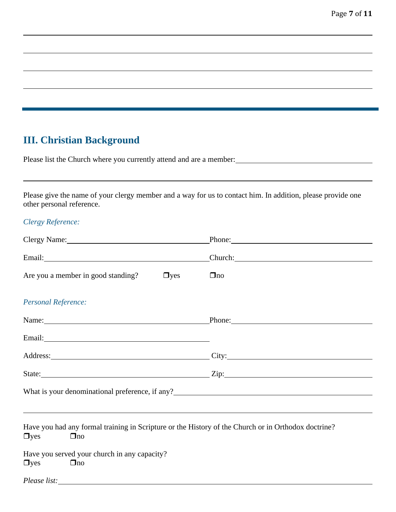## **III. Christian Background**

| Please list the Church where you currently attend and are a member. |
|---------------------------------------------------------------------|
|---------------------------------------------------------------------|

Please give the name of your clergy member and a way for us to contact him. In addition, please provide one other personal reference.

#### *Clergy Reference:*

|                                                                                                                                                                                                                                       | Phone: 2008. Contract of the Contract of the Contract of the Contract of the Contract of the Contract of the Contract of the Contract of the Contract of the Contract of the Contract of the Contract of the Contract of the C |
|---------------------------------------------------------------------------------------------------------------------------------------------------------------------------------------------------------------------------------------|--------------------------------------------------------------------------------------------------------------------------------------------------------------------------------------------------------------------------------|
|                                                                                                                                                                                                                                       |                                                                                                                                                                                                                                |
| Are you a member in good standing?<br>$\Box$ yes                                                                                                                                                                                      | $\Box$ no                                                                                                                                                                                                                      |
| <b>Personal Reference:</b>                                                                                                                                                                                                            |                                                                                                                                                                                                                                |
| Name: Phone: Phone: Phone:                                                                                                                                                                                                            |                                                                                                                                                                                                                                |
|                                                                                                                                                                                                                                       |                                                                                                                                                                                                                                |
| Address: City: City:                                                                                                                                                                                                                  |                                                                                                                                                                                                                                |
| State: 2010 21p: 21p:                                                                                                                                                                                                                 |                                                                                                                                                                                                                                |
| What is your denominational preference, if any?<br><u>Letting and the contract of any</u> and the set of any and the set of any and the set of any and the set of any and the set of any and the set of any and the set of any and th |                                                                                                                                                                                                                                |
|                                                                                                                                                                                                                                       |                                                                                                                                                                                                                                |
| Have you had any formal training in Scripture or the History of the Church or in Orthodox doctrine?<br>$\Box$ yes<br>$\Box$ no                                                                                                        |                                                                                                                                                                                                                                |
| Have you served your church in any capacity?<br>$\Box$ yes<br>$\Box$ no                                                                                                                                                               |                                                                                                                                                                                                                                |
| Please list:                                                                                                                                                                                                                          |                                                                                                                                                                                                                                |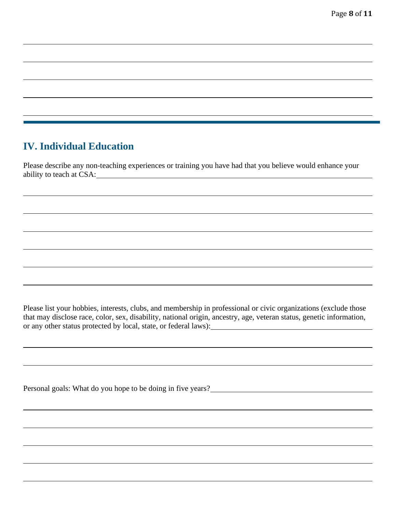# **IV. Individual Education**

Please describe any non-teaching experiences or training you have had that you believe would enhance your ability to teach at CSA:

Please list your hobbies, interests, clubs, and membership in professional or civic organizations (exclude those that may disclose race, color, sex, disability, national origin, ancestry, age, veteran status, genetic information, or any other status protected by local, state, or federal laws):

Personal goals: What do you hope to be doing in five years?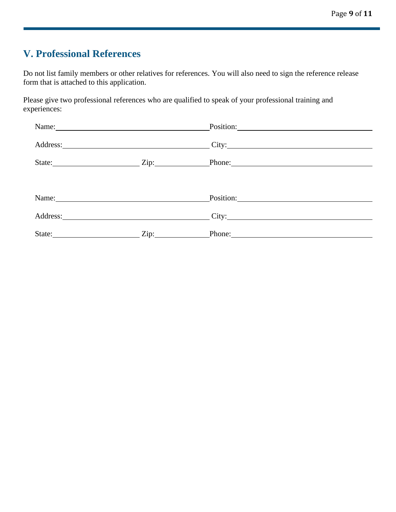# **V. Professional References**

Do not list family members or other relatives for references. You will also need to sign the reference release form that is attached to this application.

Please give two professional references who are qualified to speak of your professional training and experiences:

| Name:                                                                                                                                                                                                                          | Position: Note and the contract of the contract of the contract of the contract of the contract of the contract of the contract of the contract of the contract of the contract of the contract of the contract of the contrac      |
|--------------------------------------------------------------------------------------------------------------------------------------------------------------------------------------------------------------------------------|-------------------------------------------------------------------------------------------------------------------------------------------------------------------------------------------------------------------------------------|
|                                                                                                                                                                                                                                | Address: City: City:                                                                                                                                                                                                                |
|                                                                                                                                                                                                                                | State: <u>Zip:</u> Phone: Phone: Phone: Phone: Phone: Phone: Phone: Phone: Phone: Phone: Phone: Phone: Phone: Phone: Phone: Phone: Phone: Phone: Phone: Phone: Phone: Phone: Phone: Phone: Phone: Phone: Phone: Phone: Phone: Phone |
|                                                                                                                                                                                                                                |                                                                                                                                                                                                                                     |
| Name: Name and the state of the state of the state of the state of the state of the state of the state of the state of the state of the state of the state of the state of the state of the state of the state of the state of | Position:                                                                                                                                                                                                                           |
|                                                                                                                                                                                                                                | City:                                                                                                                                                                                                                               |
| State: <u>Zip:</u> Zip:                                                                                                                                                                                                        | Phone:                                                                                                                                                                                                                              |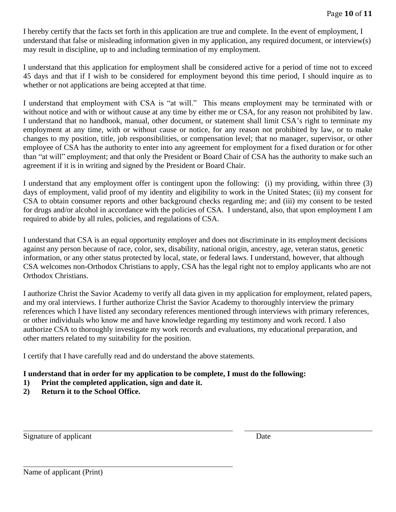I hereby certify that the facts set forth in this application are true and complete. In the event of employment, I understand that false or misleading information given in my application, any required document, or interview(s) may result in discipline, up to and including termination of my employment.

I understand that this application for employment shall be considered active for a period of time not to exceed 45 days and that if I wish to be considered for employment beyond this time period, I should inquire as to whether or not applications are being accepted at that time.

I understand that employment with CSA is "at will." This means employment may be terminated with or without notice and with or without cause at any time by either me or CSA, for any reason not prohibited by law. I understand that no handbook, manual, other document, or statement shall limit CSA's right to terminate my employment at any time, with or without cause or notice, for any reason not prohibited by law, or to make changes to my position, title, job responsibilities, or compensation level; that no manager, supervisor, or other employee of CSA has the authority to enter into any agreement for employment for a fixed duration or for other than "at will" employment; and that only the President or Board Chair of CSA has the authority to make such an agreement if it is in writing and signed by the President or Board Chair.

I understand that any employment offer is contingent upon the following: (i) my providing, within three (3) days of employment, valid proof of my identity and eligibility to work in the United States; (ii) my consent for CSA to obtain consumer reports and other background checks regarding me; and (iii) my consent to be tested for drugs and/or alcohol in accordance with the policies of CSA. I understand, also, that upon employment I am required to abide by all rules, policies, and regulations of CSA.

I understand that CSA is an equal opportunity employer and does not discriminate in its employment decisions against any person because of race, color, sex, disability, national origin, ancestry, age, veteran status, genetic information, or any other status protected by local, state, or federal laws. I understand, however, that although CSA welcomes non-Orthodox Christians to apply, CSA has the legal right not to employ applicants who are not Orthodox Christians.

I authorize Christ the Savior Academy to verify all data given in my application for employment, related papers, and my oral interviews. I further authorize Christ the Savior Academy to thoroughly interview the primary references which I have listed any secondary references mentioned through interviews with primary references, or other individuals who know me and have knowledge regarding my testimony and work record. I also authorize CSA to thoroughly investigate my work records and evaluations, my educational preparation, and other matters related to my suitability for the position.

I certify that I have carefully read and do understand the above statements.

#### **I understand that in order for my application to be complete, I must do the following:**

- **1) Print the completed application, sign and date it.**
- **2) Return it to the School Office.**

Signature of applicant Date

l,